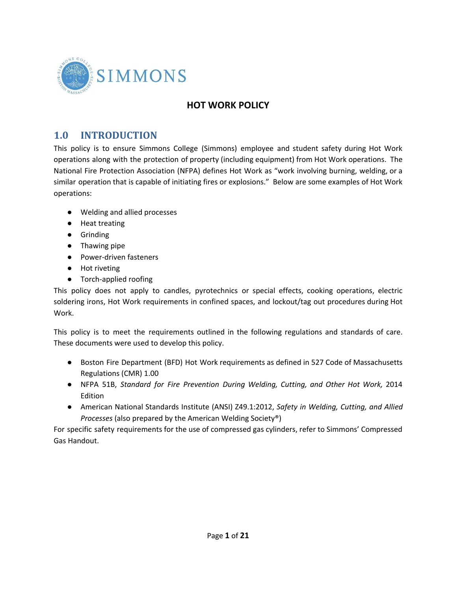

## **HOT WORK POLICY**

# **1.0 INTRODUCTION**

This policy is to ensure Simmons College (Simmons) employee and student safety during Hot Work operations along with the protection of property (including equipment) from Hot Work operations. The National Fire Protection Association (NFPA) defines Hot Work as "work involving burning, welding, or a similar operation that is capable of initiating fires or explosions." Below are some examples of Hot Work operations:

- Welding and allied processes
- Heat treating
- Grinding
- Thawing pipe
- Power-driven fasteners
- Hot riveting
- Torch-applied roofing

This policy does not apply to candles, pyrotechnics or special effects, cooking operations, electric soldering irons, Hot Work requirements in confined spaces, and lockout/tag out procedures during Hot Work.

This policy is to meet the requirements outlined in the following regulations and standards of care. These documents were used to develop this policy.

- Boston Fire Department (BFD) Hot Work requirements as defined in 527 Code of Massachusetts Regulations (CMR) 1.00
- NFPA 51B, *Standard for Fire Prevention During Welding, Cutting, and Other Hot Work,* 2014 Edition
- American National Standards Institute (ANSI) Z49.1:2012, *Safety in Welding, Cutting, and Allied Processes* (also prepared by the American Welding Society®)

For specific safety requirements for the use of compressed gas cylinders, refer to Simmons' Compressed Gas Handout.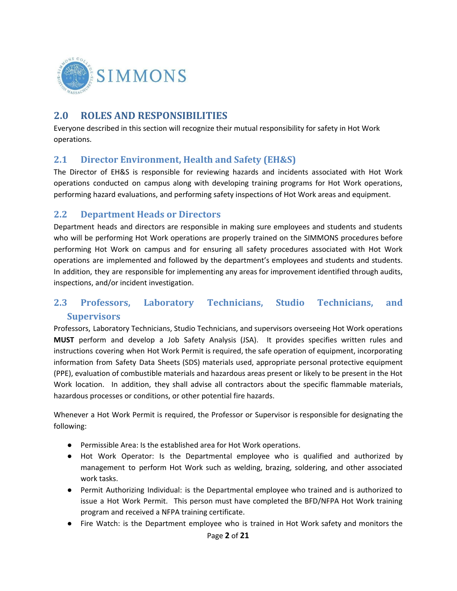

# **2.0 ROLES AND RESPONSIBILITIES**

Everyone described in this section will recognize their mutual responsibility for safety in Hot Work operations.

## **2.1 Director Environment, Health and Safety (EH&S)**

The Director of EH&S is responsible for reviewing hazards and incidents associated with Hot Work operations conducted on campus along with developing training programs for Hot Work operations, performing hazard evaluations, and performing safety inspections of Hot Work areas and equipment.

## **2.2 Department Heads or Directors**

Department heads and directors are responsible in making sure employees and students and students who will be performing Hot Work operations are properly trained on the SIMMONS procedures before performing Hot Work on campus and for ensuring all safety procedures associated with Hot Work operations are implemented and followed by the department's employees and students and students. In addition, they are responsible for implementing any areas for improvement identified through audits, inspections, and/or incident investigation.

# **2.3 Professors, Laboratory Technicians, Studio Technicians, and Supervisors**

Professors, Laboratory Technicians, Studio Technicians, and supervisors overseeing Hot Work operations **MUST** perform and develop a Job Safety Analysis (JSA). It provides specifies written rules and instructions covering when Hot Work Permit is required, the safe operation of equipment, incorporating information from Safety Data Sheets (SDS) materials used, appropriate personal protective equipment (PPE), evaluation of combustible materials and hazardous areas present or likely to be present in the Hot Work location. In addition, they shall advise all contractors about the specific flammable materials, hazardous processes or conditions, or other potential fire hazards.

Whenever a Hot Work Permit is required, the Professor or Supervisor is responsible for designating the following:

- Permissible Area: Is the established area for Hot Work operations.
- Hot Work Operator: Is the Departmental employee who is qualified and authorized by management to perform Hot Work such as welding, brazing, soldering, and other associated work tasks.
- Permit Authorizing Individual: is the Departmental employee who trained and is authorized to issue a Hot Work Permit. This person must have completed the BFD/NFPA Hot Work training program and received a NFPA training certificate.
- Fire Watch: is the Department employee who is trained in Hot Work safety and monitors the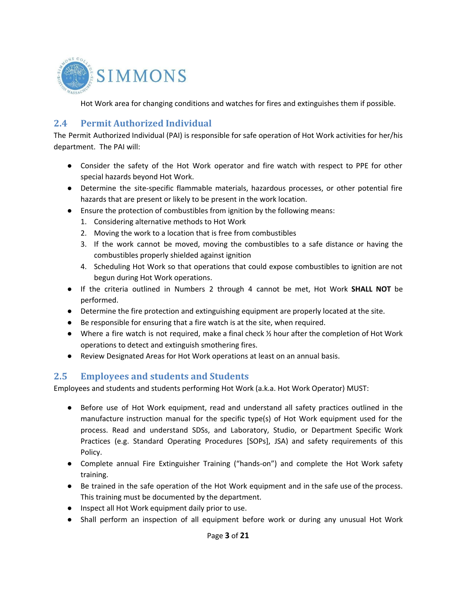

Hot Work area for changing conditions and watches for fires and extinguishes them if possible.

## **2.4 Permit Authorized Individual**

The Permit Authorized Individual (PAI) is responsible for safe operation of Hot Work activities for her/his department. The PAI will:

- Consider the safety of the Hot Work operator and fire watch with respect to PPE for other special hazards beyond Hot Work.
- Determine the site-specific flammable materials, hazardous processes, or other potential fire hazards that are present or likely to be present in the work location.
- Ensure the protection of combustibles from ignition by the following means:
	- 1. Considering alternative methods to Hot Work
	- 2. Moving the work to a location that is free from combustibles
	- 3. If the work cannot be moved, moving the combustibles to a safe distance or having the combustibles properly shielded against ignition
	- 4. Scheduling Hot Work so that operations that could expose combustibles to ignition are not begun during Hot Work operations.
- **●** If the criteria outlined in Numbers 2 through 4 cannot be met, Hot Work **SHALL NOT** be performed.
- **●** Determine the fire protection and extinguishing equipment are properly located at the site.
- Be responsible for ensuring that a fire watch is at the site, when required.
- $\bullet$  Where a fire watch is not required, make a final check  $\frac{1}{2}$  hour after the completion of Hot Work operations to detect and extinguish smothering fires.
- Review Designated Areas for Hot Work operations at least on an annual basis.

## **2.5 Employees and students and Students**

Employees and students and students performing Hot Work (a.k.a. Hot Work Operator) MUST:

- Before use of Hot Work equipment, read and understand all safety practices outlined in the manufacture instruction manual for the specific type(s) of Hot Work equipment used for the process. Read and understand SDSs, and Laboratory, Studio, or Department Specific Work Practices (e.g. Standard Operating Procedures [SOPs], JSA) and safety requirements of this Policy.
- Complete annual Fire Extinguisher Training ("hands-on") and complete the Hot Work safety training.
- Be trained in the safe operation of the Hot Work equipment and in the safe use of the process. This training must be documented by the department.
- Inspect all Hot Work equipment daily prior to use.
- Shall perform an inspection of all equipment before work or during any unusual Hot Work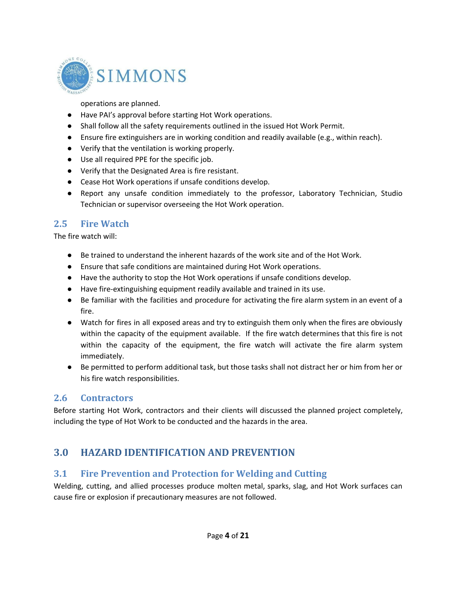

operations are planned.

- Have PAI's approval before starting Hot Work operations.
- Shall follow all the safety requirements outlined in the issued Hot Work Permit.
- Ensure fire extinguishers are in working condition and readily available (e.g., within reach).
- Verify that the ventilation is working properly.
- Use all required PPE for the specific job.
- Verify that the Designated Area is fire resistant.
- Cease Hot Work operations if unsafe conditions develop.
- Report any unsafe condition immediately to the professor, Laboratory Technician, Studio Technician or supervisor overseeing the Hot Work operation.

## **2.5 Fire Watch**

The fire watch will:

- Be trained to understand the inherent hazards of the work site and of the Hot Work.
- Ensure that safe conditions are maintained during Hot Work operations.
- Have the authority to stop the Hot Work operations if unsafe conditions develop.
- Have fire-extinguishing equipment readily available and trained in its use.
- Be familiar with the facilities and procedure for activating the fire alarm system in an event of a fire.
- Watch for fires in all exposed areas and try to extinguish them only when the fires are obviously within the capacity of the equipment available. If the fire watch determines that this fire is not within the capacity of the equipment, the fire watch will activate the fire alarm system immediately.
- Be permitted to perform additional task, but those tasks shall not distract her or him from her or his fire watch responsibilities.

## **2.6 Contractors**

Before starting Hot Work, contractors and their clients will discussed the planned project completely, including the type of Hot Work to be conducted and the hazards in the area.

# **3.0 HAZARD IDENTIFICATION AND PREVENTION**

## **3.1 Fire Prevention and Protection for Welding and Cutting**

Welding, cutting, and allied processes produce molten metal, sparks, slag, and Hot Work surfaces can cause fire or explosion if precautionary measures are not followed.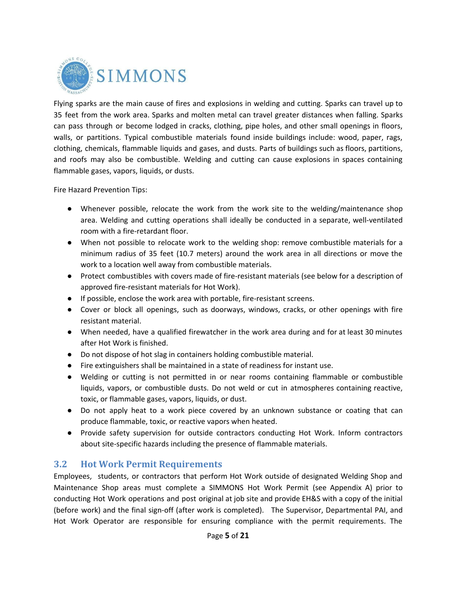

Flying sparks are the main cause of fires and explosions in welding and cutting. Sparks can travel up to 35 feet from the work area. Sparks and molten metal can travel greater distances when falling. Sparks can pass through or become lodged in cracks, clothing, pipe holes, and other small openings in floors, walls, or partitions. Typical combustible materials found inside buildings include: wood, paper, rags, clothing, chemicals, flammable liquids and gases, and dusts. Parts of buildings such as floors, partitions, and roofs may also be combustible. Welding and cutting can cause explosions in spaces containing flammable gases, vapors, liquids, or dusts.

Fire Hazard Prevention Tips:

- Whenever possible, relocate the work from the work site to the welding/maintenance shop area. Welding and cutting operations shall ideally be conducted in a separate, well-ventilated room with a fire-retardant floor.
- When not possible to relocate work to the welding shop: remove combustible materials for a minimum radius of 35 feet (10.7 meters) around the work area in all directions or move the work to a location well away from combustible materials.
- Protect combustibles with covers made of fire-resistant materials (see below for a description of approved fire-resistant materials for Hot Work).
- If possible, enclose the work area with portable, fire-resistant screens.
- Cover or block all openings, such as doorways, windows, cracks, or other openings with fire resistant material.
- When needed, have a qualified firewatcher in the work area during and for at least 30 minutes after Hot Work is finished.
- Do not dispose of hot slag in containers holding combustible material.
- Fire extinguishers shall be maintained in a state of readiness for instant use.
- Welding or cutting is not permitted in or near rooms containing flammable or combustible liquids, vapors, or combustible dusts. Do not weld or cut in atmospheres containing reactive, toxic, or flammable gases, vapors, liquids, or dust.
- Do not apply heat to a work piece covered by an unknown substance or coating that can produce flammable, toxic, or reactive vapors when heated.
- Provide safety supervision for outside contractors conducting Hot Work. Inform contractors about site-specific hazards including the presence of flammable materials.

## **3.2 Hot Work Permit Requirements**

Employees, students, or contractors that perform Hot Work outside of designated Welding Shop and Maintenance Shop areas must complete a SIMMONS Hot Work Permit (see Appendix A) prior to conducting Hot Work operations and post original at job site and provide EH&S with a copy of the initial (before work) and the final sign-off (after work is completed). The Supervisor, Departmental PAI, and Hot Work Operator are responsible for ensuring compliance with the permit requirements. The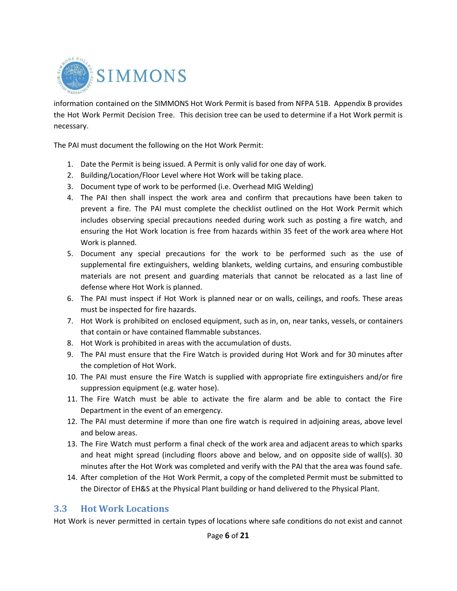

information contained on the SIMMONS Hot Work Permit is based from NFPA 51B. Appendix B provides the Hot Work Permit Decision Tree. This decision tree can be used to determine if a Hot Work permit is necessary.

The PAI must document the following on the Hot Work Permit:

- 1. Date the Permit is being issued. A Permit is only valid for one day of work.
- 2. Building/Location/Floor Level where Hot Work will be taking place.
- 3. Document type of work to be performed (i.e. Overhead MIG Welding)
- 4. The PAI then shall inspect the work area and confirm that precautions have been taken to prevent a fire. The PAI must complete the checklist outlined on the Hot Work Permit which includes observing special precautions needed during work such as posting a fire watch, and ensuring the Hot Work location is free from hazards within 35 feet of the work area where Hot Work is planned.
- 5. Document any special precautions for the work to be performed such as the use of supplemental fire extinguishers, welding blankets, welding curtains, and ensuring combustible materials are not present and guarding materials that cannot be relocated as a last line of defense where Hot Work is planned.
- 6. The PAI must inspect if Hot Work is planned near or on walls, ceilings, and roofs. These areas must be inspected for fire hazards.
- 7. Hot Work is prohibited on enclosed equipment, such as in, on, near tanks, vessels, or containers that contain or have contained flammable substances.
- 8. Hot Work is prohibited in areas with the accumulation of dusts.
- 9. The PAI must ensure that the Fire Watch is provided during Hot Work and for 30 minutes after the completion of Hot Work.
- 10. The PAI must ensure the Fire Watch is supplied with appropriate fire extinguishers and/or fire suppression equipment (e.g. water hose).
- 11. The Fire Watch must be able to activate the fire alarm and be able to contact the Fire Department in the event of an emergency.
- 12. The PAI must determine if more than one fire watch is required in adjoining areas, above level and below areas.
- 13. The Fire Watch must perform a final check of the work area and adjacent areas to which sparks and heat might spread (including floors above and below, and on opposite side of wall(s). 30 minutes after the Hot Work was completed and verify with the PAI that the area was found safe.
- 14. After completion of the Hot Work Permit, a copy of the completed Permit must be submitted to the Director of EH&S at the Physical Plant building or hand delivered to the Physical Plant.

#### **3.3 Hot Work Locations**

Hot Work is never permitted in certain types of locations where safe conditions do not exist and cannot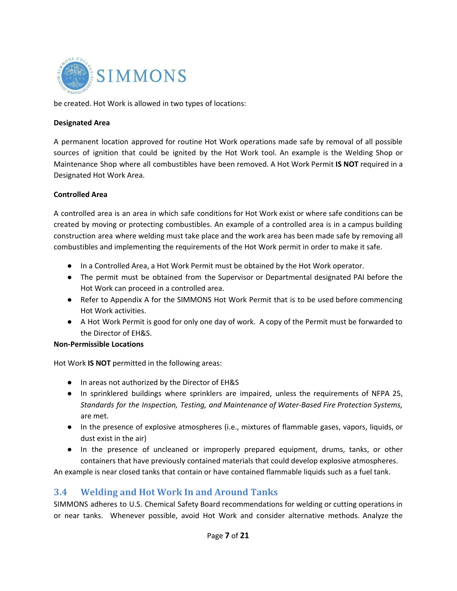

be created. Hot Work is allowed in two types of locations:

#### **Designated Area**

A permanent location approved for routine Hot Work operations made safe by removal of all possible sources of ignition that could be ignited by the Hot Work tool. An example is the Welding Shop or Maintenance Shop where all combustibles have been removed. A Hot Work Permit **IS NOT** required in a Designated Hot Work Area.

#### **Controlled Area**

A controlled area is an area in which safe conditions for Hot Work exist or where safe conditions can be created by moving or protecting combustibles. An example of a controlled area is in a campus building construction area where welding must take place and the work area has been made safe by removing all combustibles and implementing the requirements of the Hot Work permit in order to make it safe.

- In a Controlled Area, a Hot Work Permit must be obtained by the Hot Work operator.
- The permit must be obtained from the Supervisor or Departmental designated PAI before the Hot Work can proceed in a controlled area.
- Refer to Appendix A for the SIMMONS Hot Work Permit that is to be used before commencing Hot Work activities.
- A Hot Work Permit is good for only one day of work. A copy of the Permit must be forwarded to the Director of EH&S.

#### **Non-Permissible Locations**

Hot Work **IS NOT** permitted in the following areas:

- In areas not authorized by the Director of EH&S
- In sprinklered buildings where sprinklers are impaired, unless the requirements of NFPA 25, *Standards for the Inspection, Testing, and Maintenance of Water-Based Fire Protection Systems,* are met.
- In the presence of explosive atmospheres (i.e., mixtures of flammable gases, vapors, liquids, or dust exist in the air)
- In the presence of uncleaned or improperly prepared equipment, drums, tanks, or other containers that have previously contained materials that could develop explosive atmospheres.

An example is near closed tanks that contain or have contained flammable liquids such as a fuel tank.

## **3.4 Welding and Hot Work In and Around Tanks**

SIMMONS adheres to U.S. Chemical Safety Board recommendations for welding or cutting operations in or near tanks. Whenever possible, avoid Hot Work and consider alternative methods. Analyze the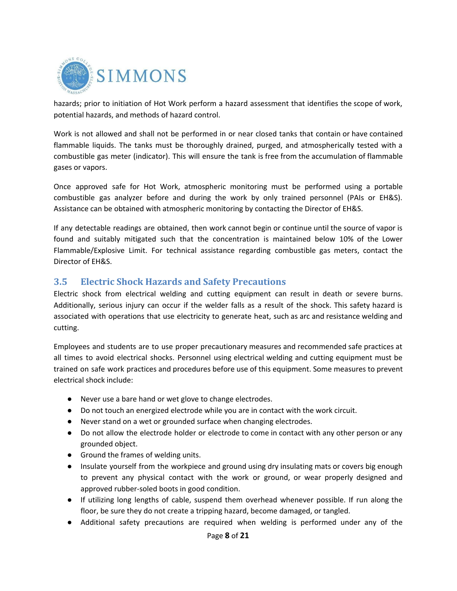

hazards; prior to initiation of Hot Work perform a hazard assessment that identifies the scope of work, potential hazards, and methods of hazard control.

Work is not allowed and shall not be performed in or near closed tanks that contain or have contained flammable liquids. The tanks must be thoroughly drained, purged, and atmospherically tested with a combustible gas meter (indicator). This will ensure the tank is free from the accumulation of flammable gases or vapors.

Once approved safe for Hot Work, atmospheric monitoring must be performed using a portable combustible gas analyzer before and during the work by only trained personnel (PAIs or EH&S). Assistance can be obtained with atmospheric monitoring by contacting the Director of EH&S.

If any detectable readings are obtained, then work cannot begin or continue until the source of vapor is found and suitably mitigated such that the concentration is maintained below 10% of the Lower Flammable/Explosive Limit. For technical assistance regarding combustible gas meters, contact the Director of EH&S.

## **3.5 Electric Shock Hazards and Safety Precautions**

Electric shock from electrical welding and cutting equipment can result in death or severe burns. Additionally, serious injury can occur if the welder falls as a result of the shock. This safety hazard is associated with operations that use electricity to generate heat, such as arc and resistance welding and cutting.

Employees and students are to use proper precautionary measures and recommended safe practices at all times to avoid electrical shocks. Personnel using electrical welding and cutting equipment must be trained on safe work practices and procedures before use of this equipment. Some measures to prevent electrical shock include:

- Never use a bare hand or wet glove to change electrodes.
- Do not touch an energized electrode while you are in contact with the work circuit.
- Never stand on a wet or grounded surface when changing electrodes.
- Do not allow the electrode holder or electrode to come in contact with any other person or any grounded object.
- Ground the frames of welding units.
- Insulate yourself from the workpiece and ground using dry insulating mats or covers big enough to prevent any physical contact with the work or ground, or wear properly designed and approved rubber-soled boots in good condition.
- If utilizing long lengths of cable, suspend them overhead whenever possible. If run along the floor, be sure they do not create a tripping hazard, become damaged, or tangled.
- Additional safety precautions are required when welding is performed under any of the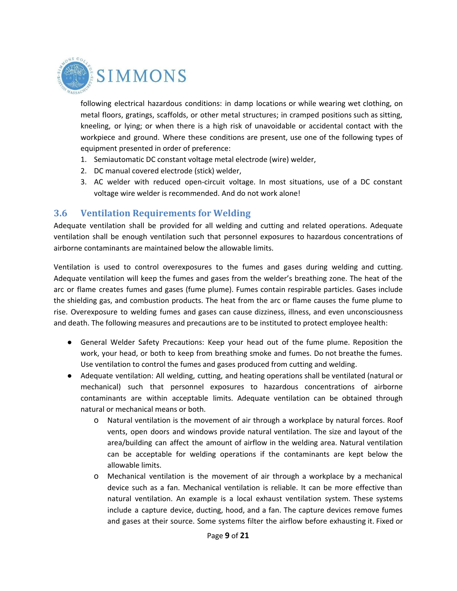

following electrical hazardous conditions: in damp locations or while wearing wet clothing, on metal floors, gratings, scaffolds, or other metal structures; in cramped positions such as sitting, kneeling, or lying; or when there is a high risk of unavoidable or accidental contact with the workpiece and ground. Where these conditions are present, use one of the following types of equipment presented in order of preference:

- 1. Semiautomatic DC constant voltage metal electrode (wire) welder,
- 2. DC manual covered electrode (stick) welder,
- 3. AC welder with reduced open-circuit voltage. In most situations, use of a DC constant voltage wire welder is recommended. And do not work alone!

## **3.6 Ventilation Requirements for Welding**

Adequate ventilation shall be provided for all welding and cutting and related operations. Adequate ventilation shall be enough ventilation such that personnel exposures to hazardous concentrations of airborne contaminants are maintained below the allowable limits.

Ventilation is used to control overexposures to the fumes and gases during welding and cutting. Adequate ventilation will keep the fumes and gases from the welder's breathing zone. The heat of the arc or flame creates fumes and gases (fume plume). Fumes contain respirable particles. Gases include the shielding gas, and combustion products. The heat from the arc or flame causes the fume plume to rise. Overexposure to welding fumes and gases can cause dizziness, illness, and even unconsciousness and death. The following measures and precautions are to be instituted to protect employee health:

- General Welder Safety Precautions: Keep your head out of the fume plume. Reposition the work, your head, or both to keep from breathing smoke and fumes. Do not breathe the fumes. Use ventilation to control the fumes and gases produced from cutting and welding.
- Adequate ventilation: All welding, cutting, and heating operations shall be ventilated (natural or mechanical) such that personnel exposures to hazardous concentrations of airborne contaminants are within acceptable limits. Adequate ventilation can be obtained through natural or mechanical means or both.
	- o Natural ventilation is the movement of air through a workplace by natural forces. Roof vents, open doors and windows provide natural ventilation. The size and layout of the area/building can affect the amount of airflow in the welding area. Natural ventilation can be acceptable for welding operations if the contaminants are kept below the allowable limits.
	- o Mechanical ventilation is the movement of air through a workplace by a mechanical device such as a fan. Mechanical ventilation is reliable. It can be more effective than natural ventilation. An example is a local exhaust ventilation system. These systems include a capture device, ducting, hood, and a fan. The capture devices remove fumes and gases at their source. Some systems filter the airflow before exhausting it. Fixed or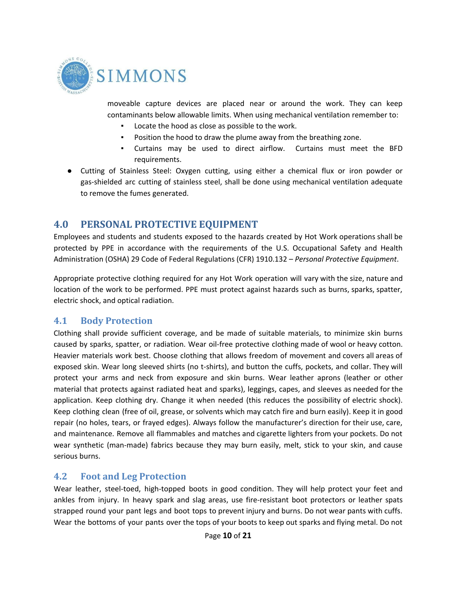

moveable capture devices are placed near or around the work. They can keep contaminants below allowable limits. When using mechanical ventilation remember to:

- Locate the hood as close as possible to the work.
- Position the hood to draw the plume away from the breathing zone.
- Curtains may be used to direct airflow. Curtains must meet the BFD requirements.
- Cutting of Stainless Steel: Oxygen cutting, using either a chemical flux or iron powder or gas-shielded arc cutting of stainless steel, shall be done using mechanical ventilation adequate to remove the fumes generated.

# **4.0 PERSONAL PROTECTIVE EQUIPMENT**

Employees and students and students exposed to the hazards created by Hot Work operations shall be protected by PPE in accordance with the requirements of the U.S. Occupational Safety and Health Administration (OSHA) 29 Code of Federal Regulations (CFR) 1910.132 – *Personal Protective Equipment*.

Appropriate protective clothing required for any Hot Work operation will vary with the size, nature and location of the work to be performed. PPE must protect against hazards such as burns, sparks, spatter, electric shock, and optical radiation.

## **4.1 Body Protection**

Clothing shall provide sufficient coverage, and be made of suitable materials, to minimize skin burns caused by sparks, spatter, or radiation. Wear oil-free protective clothing made of wool or heavy cotton. Heavier materials work best. Choose clothing that allows freedom of movement and covers all areas of exposed skin. Wear long sleeved shirts (no t-shirts), and button the cuffs, pockets, and collar. They will protect your arms and neck from exposure and skin burns. Wear leather aprons (leather or other material that protects against radiated heat and sparks), leggings, capes, and sleeves as needed for the application. Keep clothing dry. Change it when needed (this reduces the possibility of electric shock). Keep clothing clean (free of oil, grease, or solvents which may catch fire and burn easily). Keep it in good repair (no holes, tears, or frayed edges). Always follow the manufacturer's direction for their use, care, and maintenance. Remove all flammables and matches and cigarette lighters from your pockets. Do not wear synthetic (man-made) fabrics because they may burn easily, melt, stick to your skin, and cause serious burns.

## **4.2 Foot and Leg Protection**

Wear leather, steel-toed, high-topped boots in good condition. They will help protect your feet and ankles from injury. In heavy spark and slag areas, use fire-resistant boot protectors or leather spats strapped round your pant legs and boot tops to prevent injury and burns. Do not wear pants with cuffs. Wear the bottoms of your pants over the tops of your boots to keep out sparks and flying metal. Do not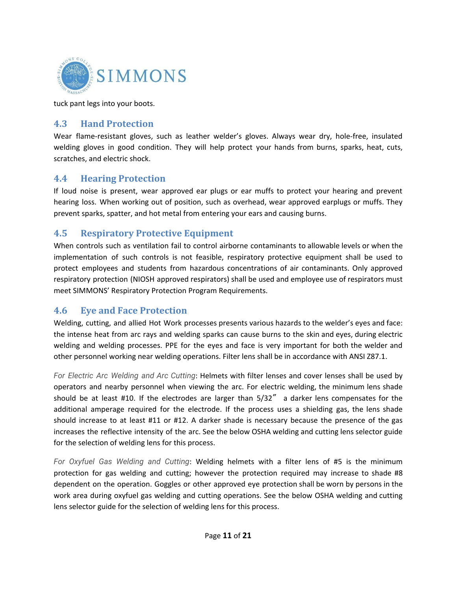

tuck pant legs into your boots.

## **4.3 Hand Protection**

Wear flame-resistant gloves, such as leather welder's gloves. Always wear dry, hole-free, insulated welding gloves in good condition. They will help protect your hands from burns, sparks, heat, cuts, scratches, and electric shock.

## **4.4 Hearing Protection**

If loud noise is present, wear approved ear plugs or ear muffs to protect your hearing and prevent hearing loss. When working out of position, such as overhead, wear approved earplugs or muffs. They prevent sparks, spatter, and hot metal from entering your ears and causing burns.

## **4.5 Respiratory Protective Equipment**

When controls such as ventilation fail to control airborne contaminants to allowable levels or when the implementation of such controls is not feasible, respiratory protective equipment shall be used to protect employees and students from hazardous concentrations of air contaminants. Only approved respiratory protection (NIOSH approved respirators) shall be used and employee use of respirators must meet SIMMONS' Respiratory Protection Program Requirements.

## **4.6 Eye and Face Protection**

Welding, cutting, and allied Hot Work processes presents various hazards to the welder's eyes and face: the intense heat from arc rays and welding sparks can cause burns to the skin and eyes, during electric welding and welding processes. PPE for the eyes and face is very important for both the welder and other personnel working near welding operations. Filter lens shall be in accordance with ANSI Z87.1.

*For Electric Arc Welding and Arc Cutting*: Helmets with filter lenses and cover lenses shall be used by operators and nearby personnel when viewing the arc. For electric welding, the minimum lens shade should be at least #10. If the electrodes are larger than 5/32″ a darker lens compensates for the additional amperage required for the electrode. If the process uses a shielding gas, the lens shade should increase to at least #11 or #12. A darker shade is necessary because the presence of the gas increases the reflective intensity of the arc. See the below OSHA welding and cutting lens selector guide for the selection of welding lens for this process.

*For Oxyfuel Gas Welding and Cutting*: Welding helmets with a filter lens of #5 is the minimum protection for gas welding and cutting; however the protection required may increase to shade #8 dependent on the operation. Goggles or other approved eye protection shall be worn by persons in the work area during oxyfuel gas welding and cutting operations. See the below OSHA welding and cutting lens selector guide for the selection of welding lens for this process.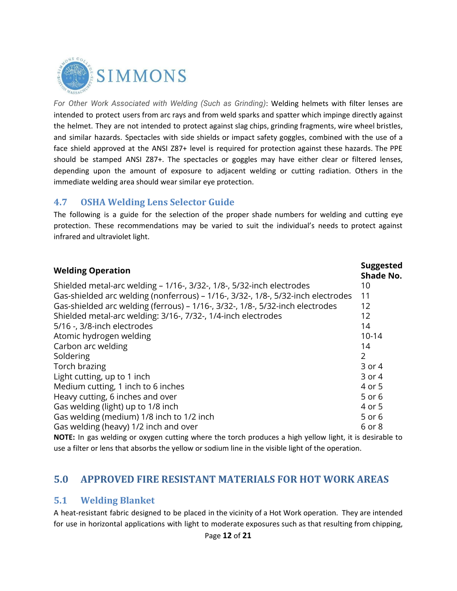

*For Other Work Associated with Welding (Such as Grinding)*: Welding helmets with filter lenses are intended to protect users from arc rays and from weld sparks and spatter which impinge directly against the helmet. They are not intended to protect against slag chips, grinding fragments, wire wheel bristles, and similar hazards. Spectacles with side shields or impact safety goggles, combined with the use of a face shield approved at the ANSI Z87+ level is required for protection against these hazards. The PPE should be stamped ANSI Z87+. The spectacles or goggles may have either clear or filtered lenses, depending upon the amount of exposure to adjacent welding or cutting radiation. Others in the immediate welding area should wear similar eye protection.

## **4.7 OSHA Welding Lens Selector Guide**

The following is a guide for the selection of the proper shade numbers for welding and cutting eye protection. These recommendations may be varied to suit the individual's needs to protect against infrared and ultraviolet light.

| <b>Welding Operation</b>                                                                                | Suggested<br>Shade No. |  |
|---------------------------------------------------------------------------------------------------------|------------------------|--|
| Shielded metal-arc welding - 1/16-, 3/32-, 1/8-, 5/32-inch electrodes                                   | 10                     |  |
| Gas-shielded arc welding (nonferrous) - 1/16-, 3/32-, 1/8-, 5/32-inch electrodes                        | 11                     |  |
| Gas-shielded arc welding (ferrous) - 1/16-, 3/32-, 1/8-, 5/32-inch electrodes                           | 12                     |  |
| Shielded metal-arc welding: 3/16-, 7/32-, 1/4-inch electrodes                                           | 12                     |  |
| 5/16 -, 3/8-inch electrodes                                                                             | 14                     |  |
| Atomic hydrogen welding                                                                                 | $10 - 14$              |  |
| Carbon arc welding                                                                                      | 14                     |  |
| Soldering                                                                                               | 2                      |  |
| Torch brazing                                                                                           | 3 or 4                 |  |
| Light cutting, up to 1 inch                                                                             | 3 or 4                 |  |
| Medium cutting, 1 inch to 6 inches                                                                      | 4 or 5                 |  |
| Heavy cutting, 6 inches and over                                                                        | 5 or 6                 |  |
| Gas welding (light) up to 1/8 inch                                                                      | 4 or 5                 |  |
| Gas welding (medium) 1/8 inch to 1/2 inch                                                               | 5 or 6                 |  |
| Gas welding (heavy) 1/2 inch and over                                                                   | 6 or 8                 |  |
| NOTE: In gas welding or oxygen cutting where the torch produces a high yellow light, it is desirable to |                        |  |

use a filter or lens that absorbs the yellow or sodium line in the visible light of the operation.

## **5.0 APPROVED FIRE RESISTANT MATERIALS FOR HOT WORK AREAS**

## **5.1 Welding Blanket**

A heat-resistant fabric designed to be placed in the vicinity of a Hot Work operation. They are intended for use in horizontal applications with light to moderate exposures such as that resulting from chipping,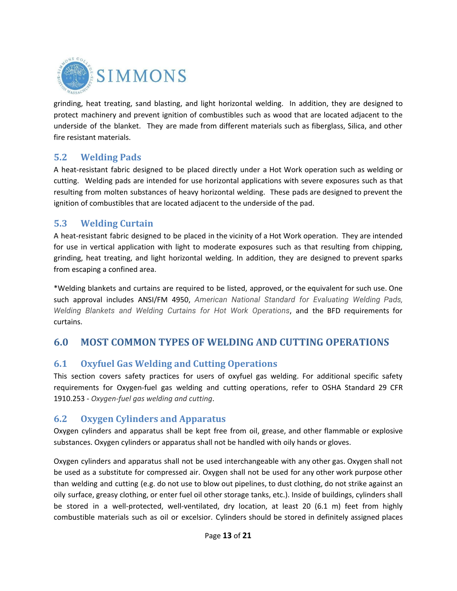

grinding, heat treating, sand blasting, and light horizontal welding. In addition, they are designed to protect machinery and prevent ignition of combustibles such as wood that are located adjacent to the underside of the blanket. They are made from different materials such as fiberglass, Silica, and other fire resistant materials.

## **5.2 Welding Pads**

A heat-resistant fabric designed to be placed directly under a Hot Work operation such as welding or cutting. Welding pads are intended for use horizontal applications with severe exposures such as that resulting from molten substances of heavy horizontal welding. These pads are designed to prevent the ignition of combustibles that are located adjacent to the underside of the pad.

## **5.3 Welding Curtain**

A heat-resistant fabric designed to be placed in the vicinity of a Hot Work operation. They are intended for use in vertical application with light to moderate exposures such as that resulting from chipping, grinding, heat treating, and light horizontal welding. In addition, they are designed to prevent sparks from escaping a confined area.

\*Welding blankets and curtains are required to be listed, approved, or the equivalent for such use. One such approval includes ANSI/FM 4950, *American National Standard for Evaluating Welding Pads, Welding Blankets and Welding Curtains for Hot Work Operations*, and the BFD requirements for curtains.

## **6.0 MOST COMMON TYPES OF WELDING AND CUTTING OPERATIONS**

## **6.1 Oxyfuel Gas Welding and Cutting Operations**

This section covers safety practices for users of oxyfuel gas welding. For additional specific safety requirements for Oxygen-fuel gas welding and cutting operations, refer to OSHA Standard 29 CFR 1910.253 - *Oxygen-fuel gas welding and cutting*.

## **6.2 Oxygen Cylinders and Apparatus**

Oxygen cylinders and apparatus shall be kept free from oil, grease, and other flammable or explosive substances. Oxygen cylinders or apparatus shall not be handled with oily hands or gloves.

Oxygen cylinders and apparatus shall not be used interchangeable with any other gas. Oxygen shall not be used as a substitute for compressed air. Oxygen shall not be used for any other work purpose other than welding and cutting (e.g. do not use to blow out pipelines, to dust clothing, do not strike against an oily surface, greasy clothing, or enter fuel oil other storage tanks, etc.). Inside of buildings, cylinders shall be stored in a well-protected, well-ventilated, dry location, at least 20 (6.1 m) feet from highly combustible materials such as oil or excelsior. Cylinders should be stored in definitely assigned places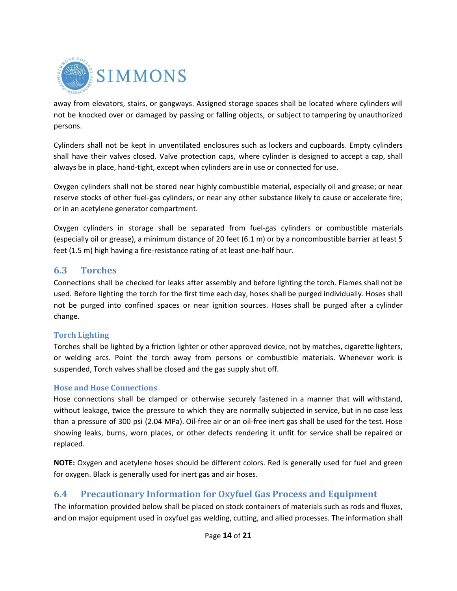

away from elevators, stairs, or gangways. Assigned storage spaces shall be located where cylinders will not be knocked over or damaged by passing or falling objects, or subject to tampering by unauthorized persons.

Cylinders shall not be kept in unventilated enclosures such as lockers and cupboards. Empty cylinders shall have their valves closed. Valve protection caps, where cylinder is designed to accept a cap, shall always be in place, hand-tight, except when cylinders are in use or connected for use.

Oxygen cylinders shall not be stored near highly combustible material, especially oil and grease; or near reserve stocks of other fuel-gas cylinders, or near any other substance likely to cause or accelerate fire; or in an acetylene generator compartment.

Oxygen cylinders in storage shall be separated from fuel-gas cylinders or combustible materials (especially oil or grease), a minimum distance of 20 feet (6.1 m) or by a noncombustible barrier at least 5 feet (1.5 m) high having a fire-resistance rating of at least one-half hour.

## **6.3 Torches**

Connections shall be checked for leaks after assembly and before lighting the torch. Flames shall not be used. Before lighting the torch for the first time each day, hoses shall be purged individually. Hoses shall not be purged into confined spaces or near ignition sources. Hoses shall be purged after a cylinder change.

#### **Torch Lighting**

Torches shall be lighted by a friction lighter or other approved device, not by matches, cigarette lighters, or welding arcs. Point the torch away from persons or combustible materials. Whenever work is suspended, Torch valves shall be closed and the gas supply shut off.

#### **Hose and Hose Connections**

Hose connections shall be clamped or otherwise securely fastened in a manner that will withstand, without leakage, twice the pressure to which they are normally subjected in service, but in no case less than a pressure of 300 psi (2.04 MPa). Oil-free air or an oil-free inert gas shall be used for the test. Hose showing leaks, burns, worn places, or other defects rendering it unfit for service shall be repaired or replaced.

**NOTE:** Oxygen and acetylene hoses should be different colors. Red is generally used for fuel and green for oxygen. Black is generally used for inert gas and air hoses.

## **6.4 Precautionary Information for Oxyfuel Gas Process and Equipment**

The information provided below shall be placed on stock containers of materials such as rods and fluxes, and on major equipment used in oxyfuel gas welding, cutting, and allied processes. The information shall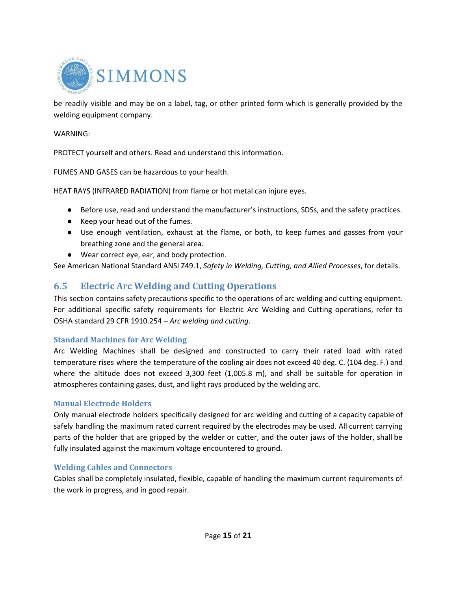

be readily visible and may be on a label, tag, or other printed form which is generally provided by the welding equipment company.

WARNING:

PROTECT yourself and others. Read and understand this information.

FUMES AND GASES can be hazardous to your health.

HEAT RAYS (INFRARED RADIATION) from flame or hot metal can injure eyes.

- Before use, read and understand the manufacturer's instructions, SDSs, and the safety practices.
- Keep your head out of the fumes.
- Use enough ventilation, exhaust at the flame, or both, to keep fumes and gasses from your breathing zone and the general area.
- Wear correct eye, ear, and body protection.

See American National Standard ANSI Z49.1, *Safety in Welding, Cutting, and Allied Processes*, for details.

## **6.5 Electric Arc Welding and Cutting Operations**

This section contains safety precautions specific to the operations of arc welding and cutting equipment. For additional specific safety requirements for Electric Arc Welding and Cutting operations, refer to OSHA standard 29 CFR 1910.254 – *Arc welding and cutting*.

#### **Standard Machines for Arc Welding**

Arc Welding Machines shall be designed and constructed to carry their rated load with rated temperature rises where the temperature of the cooling air does not exceed 40 deg. C. (104 deg. F.) and where the altitude does not exceed 3,300 feet (1,005.8 m), and shall be suitable for operation in atmospheres containing gases, dust, and light rays produced by the welding arc.

#### **Manual Electrode Holders**

Only manual electrode holders specifically designed for arc welding and cutting of a capacity capable of safely handling the maximum rated current required by the electrodes may be used. All current carrying parts of the holder that are gripped by the welder or cutter, and the outer jaws of the holder, shall be fully insulated against the maximum voltage encountered to ground.

#### **Welding Cables and Connectors**

Cables shall be completely insulated, flexible, capable of handling the maximum current requirements of the work in progress, and in good repair.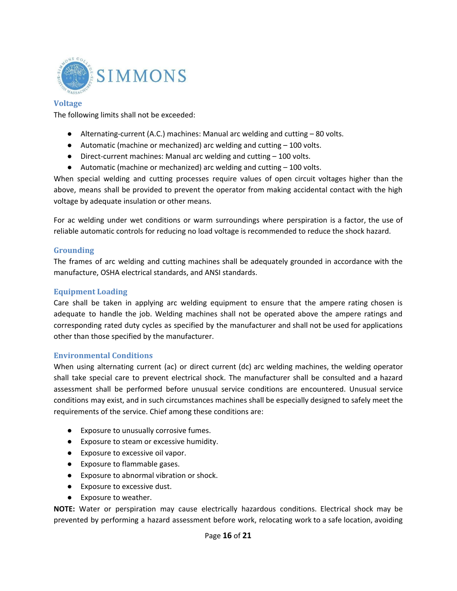

#### **Voltage**

The following limits shall not be exceeded:

- Alternating-current (A.C.) machines: Manual arc welding and cutting 80 volts.
- Automatic (machine or mechanized) arc welding and cutting 100 volts.
- Direct-current machines: Manual arc welding and cutting 100 volts.
- Automatic (machine or mechanized) arc welding and cutting 100 volts.

When special welding and cutting processes require values of open circuit voltages higher than the above, means shall be provided to prevent the operator from making accidental contact with the high voltage by adequate insulation or other means.

For ac welding under wet conditions or warm surroundings where perspiration is a factor, the use of reliable automatic controls for reducing no load voltage is recommended to reduce the shock hazard.

#### **Grounding**

The frames of arc welding and cutting machines shall be adequately grounded in accordance with the manufacture, OSHA electrical standards, and ANSI standards.

#### **Equipment Loading**

Care shall be taken in applying arc welding equipment to ensure that the ampere rating chosen is adequate to handle the job. Welding machines shall not be operated above the ampere ratings and corresponding rated duty cycles as specified by the manufacturer and shall not be used for applications other than those specified by the manufacturer.

#### **Environmental Conditions**

When using alternating current (ac) or direct current (dc) arc welding machines, the welding operator shall take special care to prevent electrical shock. The manufacturer shall be consulted and a hazard assessment shall be performed before unusual service conditions are encountered. Unusual service conditions may exist, and in such circumstances machines shall be especially designed to safely meet the requirements of the service. Chief among these conditions are:

- Exposure to unusually corrosive fumes.
- Exposure to steam or excessive humidity.
- Exposure to excessive oil vapor.
- Exposure to flammable gases.
- Exposure to abnormal vibration or shock.
- Exposure to excessive dust.
- Exposure to weather.

**NOTE:** Water or perspiration may cause electrically hazardous conditions. Electrical shock may be prevented by performing a hazard assessment before work, relocating work to a safe location, avoiding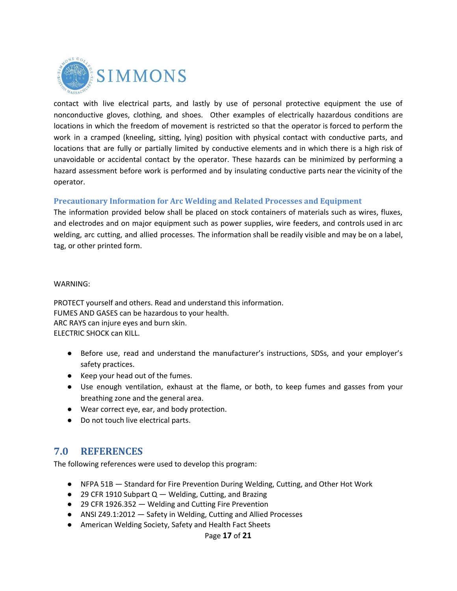

contact with live electrical parts, and lastly by use of personal protective equipment the use of nonconductive gloves, clothing, and shoes. Other examples of electrically hazardous conditions are locations in which the freedom of movement is restricted so that the operator is forced to perform the work in a cramped (kneeling, sitting, lying) position with physical contact with conductive parts, and locations that are fully or partially limited by conductive elements and in which there is a high risk of unavoidable or accidental contact by the operator. These hazards can be minimized by performing a hazard assessment before work is performed and by insulating conductive parts near the vicinity of the operator.

#### **Precautionary Information for Arc Welding and Related Processes and Equipment**

The information provided below shall be placed on stock containers of materials such as wires, fluxes, and electrodes and on major equipment such as power supplies, wire feeders, and controls used in arc welding, arc cutting, and allied processes. The information shall be readily visible and may be on a label, tag, or other printed form.

WARNING:

PROTECT yourself and others. Read and understand this information. FUMES AND GASES can be hazardous to your health. ARC RAYS can injure eyes and burn skin. ELECTRIC SHOCK can KILL.

- Before use, read and understand the manufacturer's instructions, SDSs, and your employer's safety practices.
- Keep your head out of the fumes.
- Use enough ventilation, exhaust at the flame, or both, to keep fumes and gasses from your breathing zone and the general area.
- Wear correct eye, ear, and body protection.
- Do not touch live electrical parts.

## **7.0 REFERENCES**

The following references were used to develop this program:

- NFPA 51B Standard for Fire Prevention During Welding, Cutting, and Other Hot Work
- 29 CFR 1910 Subpart Q Welding, Cutting, and Brazing
- 29 CFR 1926.352 Welding and Cutting Fire Prevention
- ANSI Z49.1:2012 Safety in Welding, Cutting and Allied Processes
- American Welding Society, Safety and Health Fact Sheets

Page **17** of **21**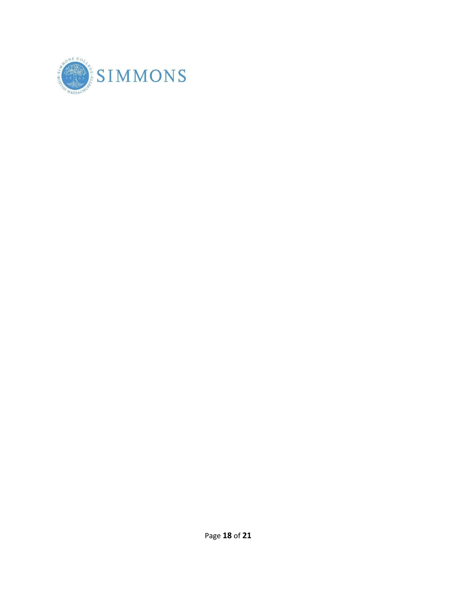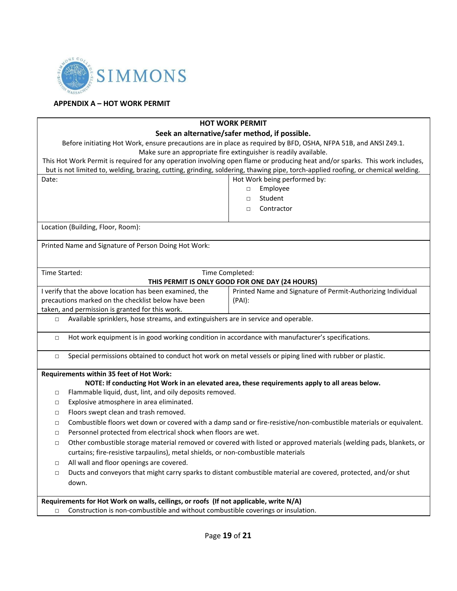

#### **APPENDIX A – HOT WORK PERMIT**

| <b>HOT WORK PERMIT</b>                                                                                                                                                    |                                                                                                |  |
|---------------------------------------------------------------------------------------------------------------------------------------------------------------------------|------------------------------------------------------------------------------------------------|--|
| Seek an alternative/safer method, if possible.                                                                                                                            |                                                                                                |  |
| Before initiating Hot Work, ensure precautions are in place as required by BFD, OSHA, NFPA 51B, and ANSI Z49.1.                                                           |                                                                                                |  |
| Make sure an appropriate fire extinguisher is readily available.                                                                                                          |                                                                                                |  |
| This Hot Work Permit is required for any operation involving open flame or producing heat and/or sparks. This work includes,                                              |                                                                                                |  |
| but is not limited to, welding, brazing, cutting, grinding, soldering, thawing pipe, torch-applied roofing, or chemical welding.                                          |                                                                                                |  |
| Date:                                                                                                                                                                     | Hot Work being performed by:                                                                   |  |
|                                                                                                                                                                           | Employee<br>$\Box$                                                                             |  |
|                                                                                                                                                                           | Student<br>$\Box$                                                                              |  |
|                                                                                                                                                                           | Contractor<br>$\Box$                                                                           |  |
| Location (Building, Floor, Room):                                                                                                                                         |                                                                                                |  |
| Printed Name and Signature of Person Doing Hot Work:                                                                                                                      |                                                                                                |  |
|                                                                                                                                                                           |                                                                                                |  |
| Time Started:<br>Time Completed:                                                                                                                                          |                                                                                                |  |
| THIS PERMIT IS ONLY GOOD FOR ONE DAY (24 HOURS)                                                                                                                           |                                                                                                |  |
| I verify that the above location has been examined, the                                                                                                                   | Printed Name and Signature of Permit-Authorizing Individual                                    |  |
| precautions marked on the checklist below have been                                                                                                                       | (PAI):                                                                                         |  |
| taken, and permission is granted for this work.                                                                                                                           |                                                                                                |  |
| Available sprinklers, hose streams, and extinguishers are in service and operable.<br>$\Box$                                                                              |                                                                                                |  |
| Hot work equipment is in good working condition in accordance with manufacturer's specifications.<br>$\Box$                                                               |                                                                                                |  |
| Special permissions obtained to conduct hot work on metal vessels or piping lined with rubber or plastic.<br>$\Box$                                                       |                                                                                                |  |
| Requirements within 35 feet of Hot Work:                                                                                                                                  |                                                                                                |  |
|                                                                                                                                                                           | NOTE: If conducting Hot Work in an elevated area, these requirements apply to all areas below. |  |
| Flammable liquid, dust, lint, and oily deposits removed.<br>$\Box$                                                                                                        |                                                                                                |  |
| Explosive atmosphere in area eliminated.<br>$\Box$                                                                                                                        |                                                                                                |  |
| Floors swept clean and trash removed.<br>$\Box$                                                                                                                           |                                                                                                |  |
| Combustible floors wet down or covered with a damp sand or fire-resistive/non-combustible materials or equivalent.<br>$\Box$                                              |                                                                                                |  |
| Personnel protected from electrical shock when floors are wet.<br>$\Box$                                                                                                  |                                                                                                |  |
| Other combustible storage material removed or covered with listed or approved materials (welding pads, blankets, or<br>$\Box$                                             |                                                                                                |  |
| curtains; fire-resistive tarpaulins), metal shields, or non-combustible materials                                                                                         |                                                                                                |  |
| All wall and floor openings are covered.<br>$\Box$                                                                                                                        |                                                                                                |  |
| Ducts and conveyors that might carry sparks to distant combustible material are covered, protected, and/or shut<br>$\Box$                                                 |                                                                                                |  |
| down.                                                                                                                                                                     |                                                                                                |  |
|                                                                                                                                                                           |                                                                                                |  |
| Requirements for Hot Work on walls, ceilings, or roofs (If not applicable, write N/A)<br>Construction is non-combustible and without combustible coverings or insulation. |                                                                                                |  |
| П                                                                                                                                                                         |                                                                                                |  |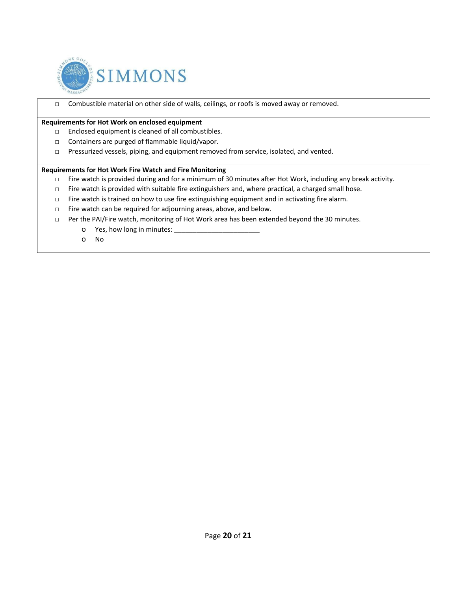

□ Combustible material on other side of walls, ceilings, or roofs is moved away or removed.

#### **Requirements for Hot Work on enclosed equipment**

- □ Enclosed equipment is cleaned of all combustibles.
- □ Containers are purged of flammable liquid/vapor.
- □ Pressurized vessels, piping, and equipment removed from service, isolated, and vented.

#### **Requirements for Hot Work Fire Watch and Fire Monitoring**

- □ Fire watch is provided during and for a minimum of 30 minutes after Hot Work, including any break activity.
- □ Fire watch is provided with suitable fire extinguishers and, where practical, a charged small hose.
- □ Fire watch is trained on how to use fire extinguishing equipment and in activating fire alarm.
- □ Fire watch can be required for adjourning areas, above, and below.
- □ Per the PAI/Fire watch, monitoring of Hot Work area has been extended beyond the 30 minutes.
	- o Yes, how long in minutes:
	- o No